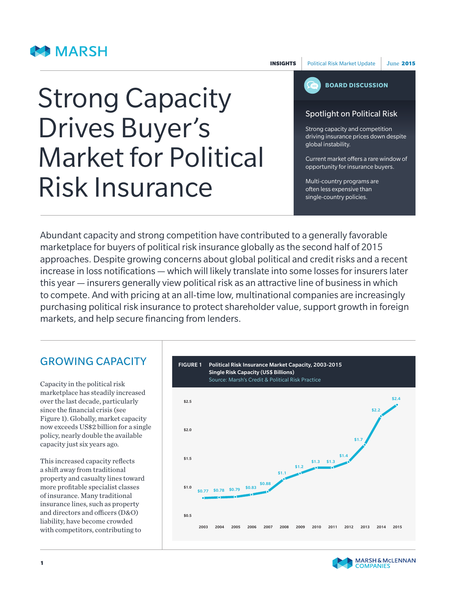## **BO MARSH**

INSIGHTSPolitical Risk Market UpdateJune2015

# **BOARD DISCUSSION**

#### Spotlight on Political Risk

Strong capacity and competition driving insurance prices down despite global instability.

Current market offers a rare window of opportunity for insurance buyers.

Multi-country programs are often less expensive than single-country policies.

# Strong Capacity Drives Buyer's Market for Political Risk Insurance

Abundant capacity and strong competition have contributed to a generally favorable marketplace for buyers of political risk insurance globally as the second half of 2015 approaches. Despite growing concerns about global political and credit risks and a recent increase in loss notifications — which will likely translate into some losses for insurers later this year — insurers generally view political risk as an attractive line of business in which to compete. And with pricing at an all-time low, multinational companies are increasingly purchasing political risk insurance to protect shareholder value, support growth in foreign markets, and help secure financing from lenders.

## GROWING CAPACITY

Capacity in the political risk marketplace has steadily increased over the last decade, particularly since the financial crisis (see Figure 1). Globally, market capacity now exceeds US\$2 billion for a single policy, nearly double the available capacity just six years ago.

This increased capacity reflects a shift away from traditional property and casualty lines toward more profitable specialist classes of insurance. Many traditional insurance lines, such as property and directors and officers (D&O) liability, have become crowded with competitors, contributing to



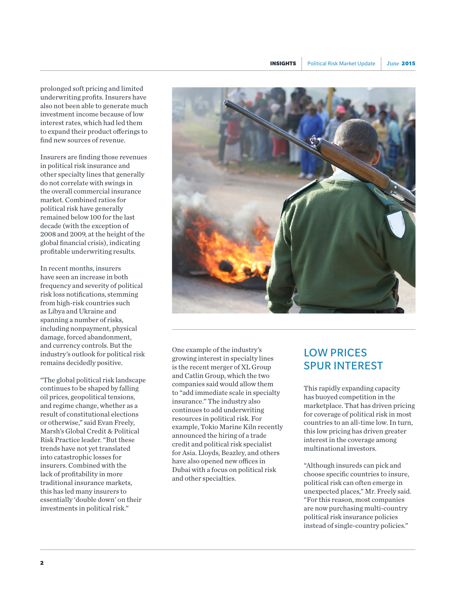prolonged soft pricing and limited underwriting profits. Insurers have also not been able to generate much investment income because of low interest rates, which had led them to expand their product offerings to find new sources of revenue.

Insurers are finding those revenues in political risk insurance and other specialty lines that generally do not correlate with swings in the overall commercial insurance market. Combined ratios for political risk have generally remained below 100 for the last decade (with the exception of 2008 and 2009, at the height of the global financial crisis), indicating profitable underwriting results.

In recent months, insurers have seen an increase in both frequency and severity of political risk loss notifications, stemming from high-risk countries such as Libya and Ukraine and spanning a number of risks, including nonpayment, physical damage, forced abandonment, and currency controls. But the industry's outlook for political risk remains decidedly positive.

"The global political risk landscape continues to be shaped by falling oil prices, geopolitical tensions, and regime change, whether as a result of constitutional elections or otherwise," said Evan Freely, Marsh's Global Credit & Political Risk Practice leader. "But these trends have not yet translated into catastrophic losses for insurers. Combined with the lack of profitability in more traditional insurance markets, this has led many insurers to essentially 'double down' on their investments in political risk."



One example of the industry's growing interest in specialty lines is the recent merger of XL Group and Catlin Group, which the two companies said would allow them to "add immediate scale in specialty insurance." The industry also continues to add underwriting resources in political risk. For example, Tokio Marine Kiln recently announced the hiring of a trade credit and political risk specialist for Asia. Lloyds, Beazley, and others have also opened new offices in Dubai with a focus on political risk and other specialties.

## LOW PRICES SPUR INTEREST

This rapidly expanding capacity has buoyed competition in the marketplace. That has driven pricing for coverage of political risk in most countries to an all-time low. In turn, this low pricing has driven greater interest in the coverage among multinational investors.

"Although insureds can pick and choose specific countries to insure, political risk can often emerge in unexpected places," Mr. Freely said. "For this reason, most companies are now purchasing multi-country political risk insurance policies instead of single-country policies."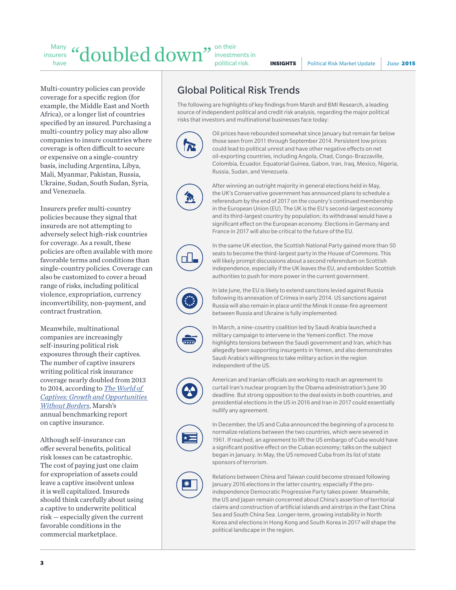INSIGHTSPolitical Risk Market UpdateJune2015

Multi-country policies can provide coverage for a specific region (for example, the Middle East and North Africa), or a longer list of countries specified by an insured. Purchasing a multi-country policy may also allow companies to insure countries where coverage is often difficult to secure or expensive on a single-country basis, including Argentina, Libya, Mali, Myanmar, Pakistan, Russia, Ukraine, Sudan, South Sudan, Syria, and Venezuela.

Insurers prefer multi-country policies because they signal that insureds are not attempting to adversely select high-risk countries for coverage. As a result, these policies are often available with more favorable terms and conditions than single-country policies. Coverage can also be customized to cover a broad range of risks, including political violence, expropriation, currency inconvertibility, non-payment, and contract frustration.

Meanwhile, multinational companies are increasingly self-insuring political risk exposures through their captives. The number of captive insurers writing political risk insurance coverage nearly doubled from 2013 to 2014, according to *[The World of](https://www.marsh.com/us/insights/world-of-captives-growth-and-opportunities-without-borders.html)  [Captives: Growth and Opportunities](https://www.marsh.com/us/insights/world-of-captives-growth-and-opportunities-without-borders.html)  [Without Borders](https://www.marsh.com/us/insights/world-of-captives-growth-and-opportunities-without-borders.html)*, Marsh's annual benchmarking report on captive insurance.

Although self-insurance can offer several benefits, political risk losses can be catastrophic. The cost of paying just one claim for expropriation of assets could leave a captive insolvent unless it is well capitalized. Insureds should think carefully about using a captive to underwrite political risk — especially given the current favorable conditions in the commercial marketplace.

## Global Political Risk Trends

The following are highlights of key findings from Marsh and BMI Research, a leading source of independent political and credit risk analysis, regarding the major political risks that investors and multinational businesses face today:



Oil prices have rebounded somewhat since January but remain far below those seen from 2011 through September 2014. Persistent low prices could lead to political unrest and have other negative effects on net oil-exporting countries, including Angola, Chad, Congo-Brazzaville, Colombia, Ecuador, Equatorial Guinea, Gabon, Iran, Iraq, Mexico, Nigeria, Russia, Sudan, and Venezuela.



After winning an outright majority in general elections held in May, the UK's Conservative government has announced plans to schedule a referendum by the end of 2017 on the country's continued membership in the European Union (EU). The UK is the EU's second-largest economy and its third-largest country by population; its withdrawal would have a significant effect on the European economy. Elections in Germany and France in 2017 will also be critical to the future of the EU.



In the same UK election, the Scottish National Party gained more than 50 seats to become the third-largest party in the House of Commons. This will likely prompt discussions about a second referendum on Scottish independence, especially if the UK leaves the EU, and embolden Scottish authorities to push for more power in the current government.

In late June, the EU is likely to extend sanctions levied against Russia following its annexation of Crimea in early 2014. US sanctions against Russia will also remain in place until the Minsk II cease-fire agreement between Russia and Ukraine is fully implemented.



In March, a nine-country coalition led by Saudi Arabia launched a military campaign to intervene in the Yemeni conflict. The move highlights tensions between the Saudi government and Iran, which has allegedly been supporting insurgents in Yemen, and also demonstrates Saudi Arabia's willingness to take military action in the region independent of the US.



American and Iranian officials are working to reach an agreement to curtail Iran's nuclear program by the Obama administration's June 30 deadline. But strong opposition to the deal exists in both countries, and presidential elections in the US in 2016 and Iran in 2017 could essentially nullify any agreement.



In December, the US and Cuba announced the beginning of a process to normalize relations between the two countries, which were severed in 1961. If reached, an agreement to lift the US embargo of Cuba would have a significant positive effect on the Cuban economy; talks on the subject began in January. In May, the US removed Cuba from its list of state sponsors of terrorism.



Relations between China and Taiwan could become stressed following January 2016 elections in the latter country, especially if the proindependence Democratic Progressive Party takes power. Meanwhile, the US and Japan remain concerned about China's assertion of territorial claims and construction of artificial islands and airstrips in the East China Sea and South China Sea. Longer-term, growing instability in North Korea and elections in Hong Kong and South Korea in 2017 will shape the political landscape in the region.